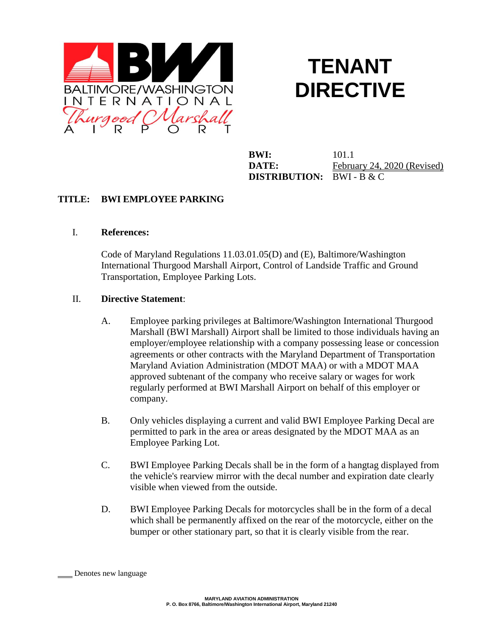

# **TENANT DIRECTIVE**

**BWI:** 101.1 **DISTRIBUTION:** BWI - B & C

**DATE:** February 24, 2020 (Revised)

## **TITLE: BWI EMPLOYEE PARKING**

### I. **References:**

Code of Maryland Regulations 11.03.01.05(D) and (E), Baltimore/Washington International Thurgood Marshall Airport, Control of Landside Traffic and Ground Transportation, Employee Parking Lots.

### II. **Directive Statement**:

- A. Employee parking privileges at Baltimore/Washington International Thurgood Marshall (BWI Marshall) Airport shall be limited to those individuals having an employer/employee relationship with a company possessing lease or concession agreements or other contracts with the Maryland Department of Transportation Maryland Aviation Administration (MDOT MAA) or with a MDOT MAA approved subtenant of the company who receive salary or wages for work regularly performed at BWI Marshall Airport on behalf of this employer or company.
- B. Only vehicles displaying a current and valid BWI Employee Parking Decal are permitted to park in the area or areas designated by the MDOT MAA as an Employee Parking Lot.
- C. BWI Employee Parking Decals shall be in the form of a hangtag displayed from the vehicle's rearview mirror with the decal number and expiration date clearly visible when viewed from the outside.
- D. BWI Employee Parking Decals for motorcycles shall be in the form of a decal which shall be permanently affixed on the rear of the motorcycle, either on the bumper or other stationary part, so that it is clearly visible from the rear.

Denotes new language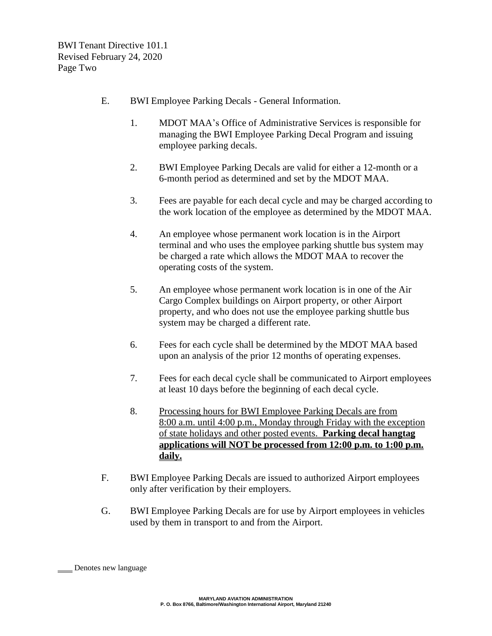BWI Tenant Directive 101.1 Revised February 24, 2020 Page Two

- E. BWI Employee Parking Decals General Information.
	- 1. MDOT MAA's Office of Administrative Services is responsible for managing the BWI Employee Parking Decal Program and issuing employee parking decals.
	- 2. BWI Employee Parking Decals are valid for either a 12-month or a 6-month period as determined and set by the MDOT MAA.
	- 3. Fees are payable for each decal cycle and may be charged according to the work location of the employee as determined by the MDOT MAA.
	- 4. An employee whose permanent work location is in the Airport terminal and who uses the employee parking shuttle bus system may be charged a rate which allows the MDOT MAA to recover the operating costs of the system.
	- 5. An employee whose permanent work location is in one of the Air Cargo Complex buildings on Airport property, or other Airport property, and who does not use the employee parking shuttle bus system may be charged a different rate.
	- 6. Fees for each cycle shall be determined by the MDOT MAA based upon an analysis of the prior 12 months of operating expenses.
	- 7. Fees for each decal cycle shall be communicated to Airport employees at least 10 days before the beginning of each decal cycle.
	- 8. Processing hours for BWI Employee Parking Decals are from 8:00 a.m. until 4:00 p.m., Monday through Friday with the exception of state holidays and other posted events. **Parking decal hangtag applications will NOT be processed from 12:00 p.m. to 1:00 p.m. daily.**
- F. BWI Employee Parking Decals are issued to authorized Airport employees only after verification by their employers.
- G. BWI Employee Parking Decals are for use by Airport employees in vehicles used by them in transport to and from the Airport.

Denotes new language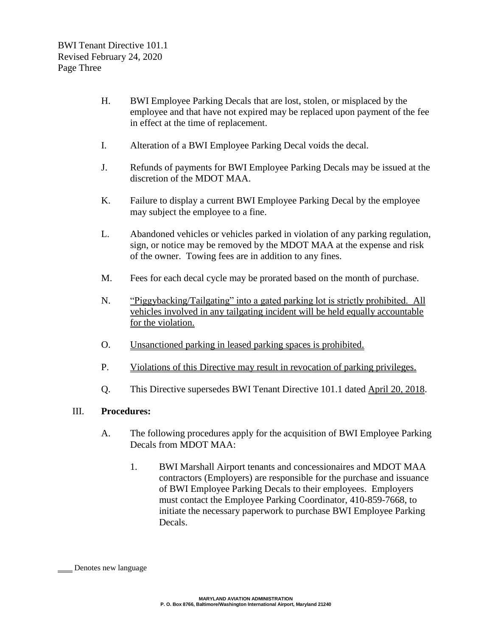- H. BWI Employee Parking Decals that are lost, stolen, or misplaced by the employee and that have not expired may be replaced upon payment of the fee in effect at the time of replacement.
- I. Alteration of a BWI Employee Parking Decal voids the decal.
- J. Refunds of payments for BWI Employee Parking Decals may be issued at the discretion of the MDOT MAA.
- K. Failure to display a current BWI Employee Parking Decal by the employee may subject the employee to a fine.
- L. Abandoned vehicles or vehicles parked in violation of any parking regulation, sign, or notice may be removed by the MDOT MAA at the expense and risk of the owner. Towing fees are in addition to any fines.
- M. Fees for each decal cycle may be prorated based on the month of purchase.
- N. "Piggybacking/Tailgating" into a gated parking lot is strictly prohibited. All vehicles involved in any tailgating incident will be held equally accountable for the violation.
- O. Unsanctioned parking in leased parking spaces is prohibited.
- P. Violations of this Directive may result in revocation of parking privileges.
- Q. This Directive supersedes BWI Tenant Directive 101.1 dated April 20, 2018.

### III. **Procedures:**

- A. The following procedures apply for the acquisition of BWI Employee Parking Decals from MDOT MAA:
	- 1. BWI Marshall Airport tenants and concessionaires and MDOT MAA contractors (Employers) are responsible for the purchase and issuance of BWI Employee Parking Decals to their employees. Employers must contact the Employee Parking Coordinator, 410-859-7668, to initiate the necessary paperwork to purchase BWI Employee Parking Decals.

Denotes new language